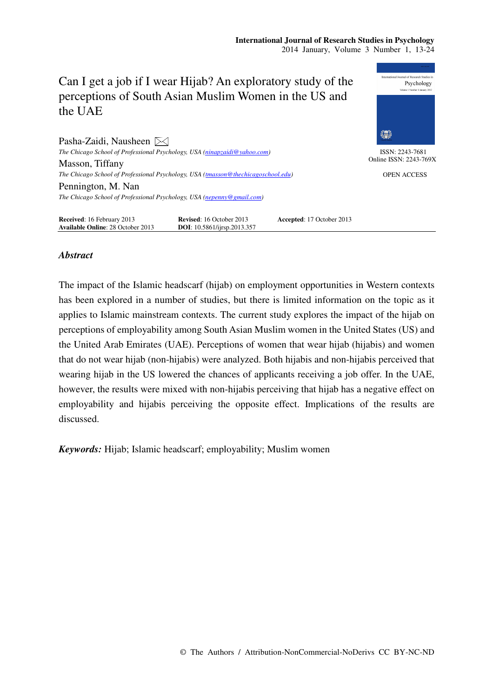

# *Abstract*

The impact of the Islamic headscarf (hijab) on employment opportunities in Western contexts has been explored in a number of studies, but there is limited information on the topic as it applies to Islamic mainstream contexts. The current study explores the impact of the hijab on perceptions of employability among South Asian Muslim women in the United States (US) and the United Arab Emirates (UAE). Perceptions of women that wear hijab (hijabis) and women that do not wear hijab (non-hijabis) were analyzed. Both hijabis and non-hijabis perceived that wearing hijab in the US lowered the chances of applicants receiving a job offer. In the UAE, however, the results were mixed with non-hijabis perceiving that hijab has a negative effect on employability and hijabis perceiving the opposite effect. Implications of the results are discussed.

*Keywords:* Hijab; Islamic headscarf; employability; Muslim women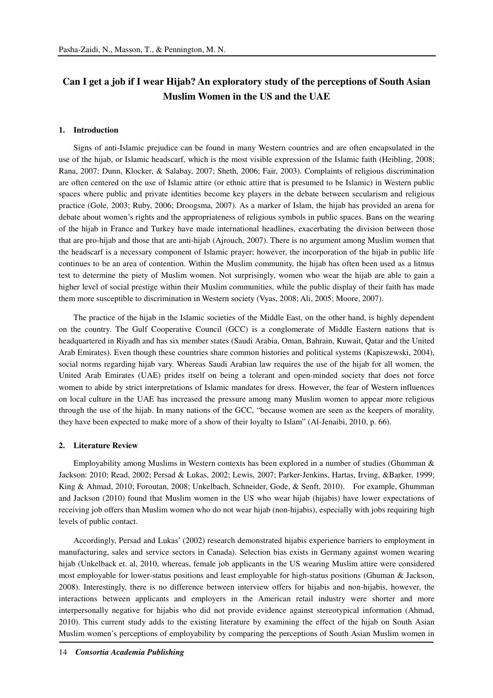# **Can I get a job if I wear Hijab? An exploratory study of the perceptions of South Asian Muslim Women in the US and the UAE**

#### **1. Introduction**

Signs of anti-Islamic prejudice can be found in many Western countries and are often encapsulated in the use of the hijab, or Islamic headscarf, which is the most visible expression of the Islamic faith (Heibling, 2008; Rana, 2007; Dunn, Klocker, & Salabay, 2007; Sheth, 2006; Fair, 2003). Complaints of religious discrimination are often centered on the use of Islamic attire (or ethnic attire that is presumed to be Islamic) in Western public spaces where public and private identities become key players in the debate between secularism and religious practice (Gole, 2003; Ruby, 2006; Droogsma, 2007). As a marker of Islam, the hijab has provided an arena for debate about women's rights and the appropriateness of religious symbols in public spaces. Bans on the wearing of the hijab in France and Turkey have made international headlines, exacerbating the division between those that are pro-hijab and those that are anti-hijab (Ajrouch, 2007). There is no argument among Muslim women that the headscarf is a necessary component of Islamic prayer; however, the incorporation of the hijab in public life continues to be an area of contention. Within the Muslim community, the hijab has often been used as a litmus test to determine the piety of Muslim women. Not surprisingly, women who wear the hijab are able to gain a higher level of social prestige within their Muslim communities, while the public display of their faith has made them more susceptible to discrimination in Western society (Vyas, 2008; Ali, 2005; Moore, 2007).

The practice of the hijab in the Islamic societies of the Middle East, on the other hand, is highly dependent on the country. The Gulf Cooperative Council (GCC) is a conglomerate of Middle Eastern nations that is headquartered in Riyadh and has six member states (Saudi Arabia, Oman, Bahrain, Kuwait, Qatar and the United Arab Emirates). Even though these countries share common histories and political systems (Kapiszewski, 2004), social norms regarding hijab vary. Whereas Saudi Arabian law requires the use of the hijab for all women, the United Arab Emirates (UAE) prides itself on being a tolerant and open-minded society that does not force women to abide by strict interpretations of Islamic mandates for dress. However, the fear of Western influences on local culture in the UAE has increased the pressure among many Muslim women to appear more religious through the use of the hijab. In many nations of the GCC, "because women are seen as the keepers of morality, they have been expected to make more of a show of their loyalty to Islam" (Al-Jenaibi, 2010, p. 66).

#### **2. Literature Review**

Employability among Muslims in Western contexts has been explored in a number of studies (Ghumman & Jackson: 2010; Read, 2002; Persad & Lukas, 2002; Lewis, 2007; Parker-Jenkins, Hartas, Irving, &Barker, 1999; King & Ahmad, 2010; Foroutan, 2008; Unkelbach, Schneider, Gode, & Senft, 2010). For example, Ghumman and Jackson (2010) found that Muslim women in the US who wear hijab (hijabis) have lower expectations of receiving job offers than Muslim women who do not wear hijab (non-hijabis), especially with jobs requiring high levels of public contact.

Accordingly, Persad and Lukas' (2002) research demonstrated hijabis experience barriers to employment in manufacturing, sales and service sectors in Canada). Selection bias exists in Germany against women wearing hijab (Unkelback et. al, 2010, whereas, female job applicants in the US wearing Muslim attire were considered most employable for lower-status positions and least employable for high-status positions (Ghuman & Jackson, 2008). Interestingly, there is no difference between interview offers for hijabis and non-hijabis, however, the interactions between applicants and employers in the American retail industry were shorter and more interpersonally negative for hijabis who did not provide evidence against stereotypical information (Ahmad, 2010). This current study adds to the existing literature by examining the effect of the hijab on South Asian Muslim women's perceptions of employability by comparing the perceptions of South Asian Muslim women in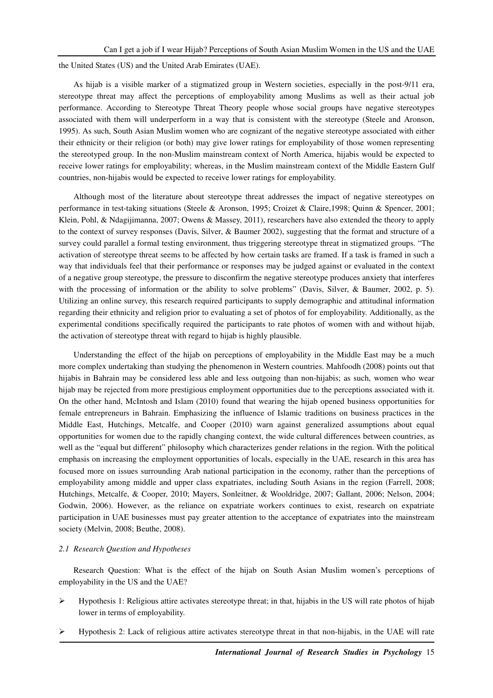the United States (US) and the United Arab Emirates (UAE).

As hijab is a visible marker of a stigmatized group in Western societies, especially in the post-9/11 era, stereotype threat may affect the perceptions of employability among Muslims as well as their actual job performance. According to Stereotype Threat Theory people whose social groups have negative stereotypes associated with them will underperform in a way that is consistent with the stereotype (Steele and Aronson, 1995). As such, South Asian Muslim women who are cognizant of the negative stereotype associated with either their ethnicity or their religion (or both) may give lower ratings for employability of those women representing the stereotyped group. In the non-Muslim mainstream context of North America, hijabis would be expected to receive lower ratings for employability; whereas, in the Muslim mainstream context of the Middle Eastern Gulf countries, non-hijabis would be expected to receive lower ratings for employability.

Although most of the literature about stereotype threat addresses the impact of negative stereotypes on performance in test-taking situations (Steele & Aronson, 1995; Croizet & Claire,1998; Quinn & Spencer, 2001; Klein, Pohl, & Ndagijimanna, 2007; Owens & Massey, 2011), researchers have also extended the theory to apply to the context of survey responses (Davis, Silver, & Baumer 2002), suggesting that the format and structure of a survey could parallel a formal testing environment, thus triggering stereotype threat in stigmatized groups. "The activation of stereotype threat seems to be affected by how certain tasks are framed. If a task is framed in such a way that individuals feel that their performance or responses may be judged against or evaluated in the context of a negative group stereotype, the pressure to disconfirm the negative stereotype produces anxiety that interferes with the processing of information or the ability to solve problems" (Davis, Silver, & Baumer, 2002, p. 5). Utilizing an online survey, this research required participants to supply demographic and attitudinal information regarding their ethnicity and religion prior to evaluating a set of photos of for employability. Additionally, as the experimental conditions specifically required the participants to rate photos of women with and without hijab, the activation of stereotype threat with regard to hijab is highly plausible.

Understanding the effect of the hijab on perceptions of employability in the Middle East may be a much more complex undertaking than studying the phenomenon in Western countries. Mahfoodh (2008) points out that hijabis in Bahrain may be considered less able and less outgoing than non-hijabis; as such, women who wear hijab may be rejected from more prestigious employment opportunities due to the perceptions associated with it. On the other hand, McIntosh and Islam (2010) found that wearing the hijab opened business opportunities for female entrepreneurs in Bahrain. Emphasizing the influence of Islamic traditions on business practices in the Middle East, Hutchings, Metcalfe, and Cooper (2010) warn against generalized assumptions about equal opportunities for women due to the rapidly changing context, the wide cultural differences between countries, as well as the "equal but different" philosophy which characterizes gender relations in the region. With the political emphasis on increasing the employment opportunities of locals, especially in the UAE, research in this area has focused more on issues surrounding Arab national participation in the economy, rather than the perceptions of employability among middle and upper class expatriates, including South Asians in the region (Farrell, 2008; Hutchings, Metcalfe, & Cooper, 2010; Mayers, Sonleitner, & Wooldridge, 2007; Gallant, 2006; Nelson, 2004; Godwin, 2006). However, as the reliance on expatriate workers continues to exist, research on expatriate participation in UAE businesses must pay greater attention to the acceptance of expatriates into the mainstream society (Melvin, 2008; Beuthe, 2008).

### *2.1 Research Question and Hypotheses*

Research Question: What is the effect of the hijab on South Asian Muslim women's perceptions of employability in the US and the UAE?

- $\triangleright$  Hypothesis 1: Religious attire activates stereotype threat; in that, hijabis in the US will rate photos of hijab lower in terms of employability.
- $\triangleright$  Hypothesis 2: Lack of religious attire activates stereotype threat in that non-hijabis, in the UAE will rate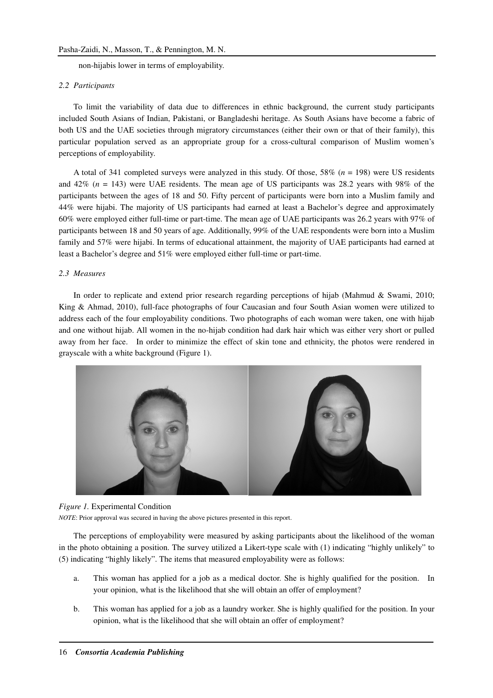non-hijabis lower in terms of employability.

### *2.2 Participants*

To limit the variability of data due to differences in ethnic background, the current study participants included South Asians of Indian, Pakistani, or Bangladeshi heritage. As South Asians have become a fabric of both US and the UAE societies through migratory circumstances (either their own or that of their family), this particular population served as an appropriate group for a cross-cultural comparison of Muslim women's perceptions of employability.

A total of 341 completed surveys were analyzed in this study. Of those, 58% (*n* = 198) were US residents and 42% (*n* = 143) were UAE residents. The mean age of US participants was 28.2 years with 98% of the participants between the ages of 18 and 50. Fifty percent of participants were born into a Muslim family and 44% were hijabi. The majority of US participants had earned at least a Bachelor's degree and approximately 60% were employed either full-time or part-time. The mean age of UAE participants was 26.2 years with 97% of participants between 18 and 50 years of age. Additionally, 99% of the UAE respondents were born into a Muslim family and 57% were hijabi. In terms of educational attainment, the majority of UAE participants had earned at least a Bachelor's degree and 51% were employed either full-time or part-time.

## *2.3 Measures*

In order to replicate and extend prior research regarding perceptions of hijab (Mahmud & Swami, 2010; King & Ahmad, 2010), full-face photographs of four Caucasian and four South Asian women were utilized to address each of the four employability conditions. Two photographs of each woman were taken, one with hijab and one without hijab. All women in the no-hijab condition had dark hair which was either very short or pulled away from her face. In order to minimize the effect of skin tone and ethnicity, the photos were rendered in grayscale with a white background (Figure 1).



### *Figure 1.* Experimental Condition

*NOTE*: Prior approval was secured in having the above pictures presented in this report.

The perceptions of employability were measured by asking participants about the likelihood of the woman in the photo obtaining a position. The survey utilized a Likert-type scale with (1) indicating "highly unlikely" to (5) indicating "highly likely". The items that measured employability were as follows:

- a. This woman has applied for a job as a medical doctor. She is highly qualified for the position. In your opinion, what is the likelihood that she will obtain an offer of employment?
- b. This woman has applied for a job as a laundry worker. She is highly qualified for the position. In your opinion, what is the likelihood that she will obtain an offer of employment?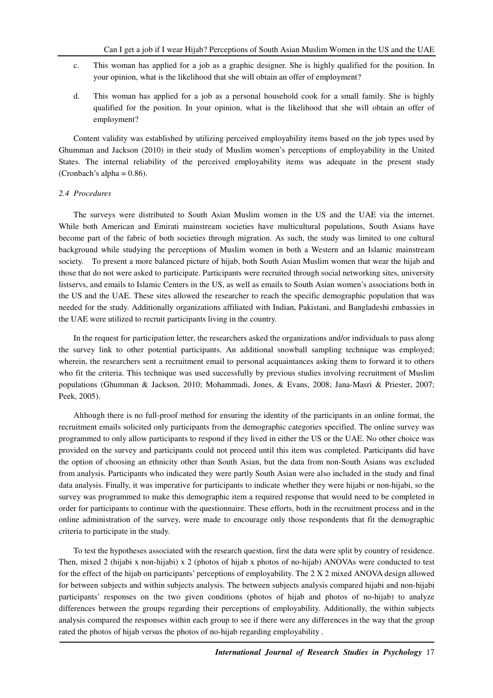- c. This woman has applied for a job as a graphic designer. She is highly qualified for the position. In your opinion, what is the likelihood that she will obtain an offer of employment?
- d. This woman has applied for a job as a personal household cook for a small family. She is highly qualified for the position. In your opinion, what is the likelihood that she will obtain an offer of employment?

Content validity was established by utilizing perceived employability items based on the job types used by Ghumman and Jackson (2010) in their study of Muslim women's perceptions of employability in the United States. The internal reliability of the perceived employability items was adequate in the present study (Cronbach's alpha =  $0.86$ ).

### *2.4 Procedures*

The surveys were distributed to South Asian Muslim women in the US and the UAE via the internet. While both American and Emirati mainstream societies have multicultural populations, South Asians have become part of the fabric of both societies through migration. As such, the study was limited to one cultural background while studying the perceptions of Muslim women in both a Western and an Islamic mainstream society. To present a more balanced picture of hijab, both South Asian Muslim women that wear the hijab and those that do not were asked to participate. Participants were recruited through social networking sites, university listservs, and emails to Islamic Centers in the US, as well as emails to South Asian women's associations both in the US and the UAE. These sites allowed the researcher to reach the specific demographic population that was needed for the study. Additionally organizations affiliated with Indian, Pakistani, and Bangladeshi embassies in the UAE were utilized to recruit participants living in the country.

In the request for participation letter, the researchers asked the organizations and/or individuals to pass along the survey link to other potential participants. An additional snowball sampling technique was employed; wherein, the researchers sent a recruitment email to personal acquaintances asking them to forward it to others who fit the criteria. This technique was used successfully by previous studies involving recruitment of Muslim populations (Ghumman & Jackson, 2010; Mohammadi, Jones, & Evans, 2008; Jana-Masri & Priester, 2007; Peek, 2005).

Although there is no full-proof method for ensuring the identity of the participants in an online format, the recruitment emails solicited only participants from the demographic categories specified. The online survey was programmed to only allow participants to respond if they lived in either the US or the UAE. No other choice was provided on the survey and participants could not proceed until this item was completed. Participants did have the option of choosing an ethnicity other than South Asian, but the data from non-South Asians was excluded from analysis. Participants who indicated they were partly South Asian were also included in the study and final data analysis. Finally, it was imperative for participants to indicate whether they were hijabi or non-hijabi, so the survey was programmed to make this demographic item a required response that would need to be completed in order for participants to continue with the questionnaire. These efforts, both in the recruitment process and in the online administration of the survey, were made to encourage only those respondents that fit the demographic criteria to participate in the study.

To test the hypotheses associated with the research question, first the data were split by country of residence. Then, mixed 2 (hijabi x non-hijabi) x 2 (photos of hijab x photos of no-hijab) ANOVAs were conducted to test for the effect of the hijab on participants' perceptions of employability. The 2 X 2 mixed ANOVA design allowed for between subjects and within subjects analysis. The between subjects analysis compared hijabi and non-hijabi participants' responses on the two given conditions (photos of hijab and photos of no-hijab) to analyze differences between the groups regarding their perceptions of employability. Additionally, the within subjects analysis compared the responses within each group to see if there were any differences in the way that the group rated the photos of hijab versus the photos of no-hijab regarding employability .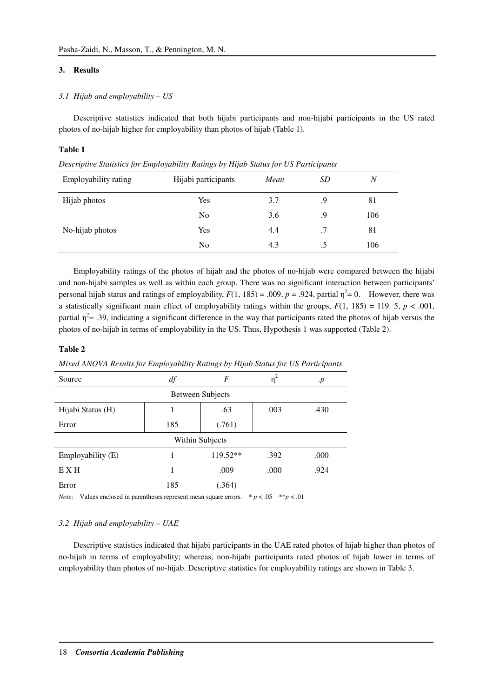# **3. Results**

# *3.1 Hijab and employability – US*

Descriptive statistics indicated that both hijabi participants and non-hijabi participants in the US rated photos of no-hijab higher for employability than photos of hijab (Table 1).

## **Table 1**

*Descriptive Statistics for Employability Ratings by Hijab Status for US Participants* 

| Employability rating | Hijabi participants | Mean | SD | $\boldsymbol{N}$ |
|----------------------|---------------------|------|----|------------------|
| Hijab photos         | Yes                 | 3.7  | .9 | 81               |
|                      | N <sub>0</sub>      | 3.6  | .9 | 106              |
| No-hijab photos      | Yes                 | 4.4  | .7 | 81               |
|                      | No                  | 4.3  | .5 | 106              |

Employability ratings of the photos of hijab and the photos of no-hijab were compared between the hijabi and non-hijabi samples as well as within each group. There was no significant interaction between participants' personal hijab status and ratings of employability,  $F(1, 185) = .009$ ,  $p = .924$ , partial  $\eta^2 = 0$ . However, there was a statistically significant main effect of employability ratings within the groups,  $F(1, 185) = 119.5$ ,  $p < .001$ , partial  $\eta^2$  = .39, indicating a significant difference in the way that participants rated the photos of hijab versus the photos of no-hijab in terms of employability in the US. Thus, Hypothesis 1 was supported (Table 2).

# **Table 2**

| Source                                                                         | df  | F        | $\eta^2$ | $\cdot p$ |  |  |  |
|--------------------------------------------------------------------------------|-----|----------|----------|-----------|--|--|--|
| <b>Between Subjects</b>                                                        |     |          |          |           |  |  |  |
| Hijabi Status (H)                                                              |     | .63      | .003     | .430      |  |  |  |
| Error                                                                          | 185 | (.761)   |          |           |  |  |  |
| Within Subjects                                                                |     |          |          |           |  |  |  |
| Employability (E)                                                              |     | 119.52** | .392     | .000      |  |  |  |
| EXH                                                                            |     | .009     | .000     | .924      |  |  |  |
| Error                                                                          | 185 | (.364)   |          |           |  |  |  |
| $\cdots$<br>ata.<br>$\mathbf{v}$<br>$\sim$<br>als als<br>$\sim$ 1<br>$\cdot$ 1 |     |          |          |           |  |  |  |

*Mixed ANOVA Results for Employability Ratings by Hijab Status for US Participants* 

*Note*: Values enclosed in parentheses represent mean square errors.  $* p < .05$  \*\* $p < .01$ 

# *3.2 Hijab and employability – UAE*

Descriptive statistics indicated that hijabi participants in the UAE rated photos of hijab higher than photos of no-hijab in terms of employability; whereas, non-hijabi participants rated photos of hijab lower in terms of employability than photos of no-hijab. Descriptive statistics for employability ratings are shown in Table 3.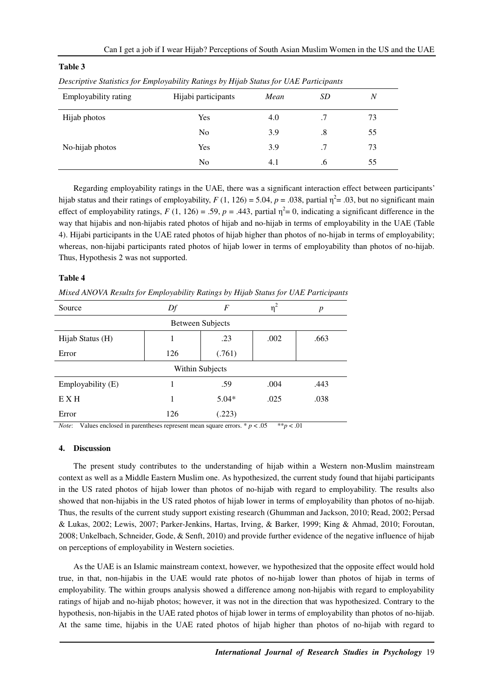| $\cdot$              |                     | $\cdot$ |           |                  |  |
|----------------------|---------------------|---------|-----------|------------------|--|
| Employability rating | Hijabi participants | Mean    | <i>SD</i> | $\boldsymbol{N}$ |  |
| Hijab photos         | Yes                 | 4.0     | .7        | 73               |  |
|                      | N <sub>0</sub>      | 3.9     | .8        | 55               |  |
| No-hijab photos      | Yes                 | 3.9     | .7        | 73               |  |
|                      | N <sub>0</sub>      | 4.1     | .6        | 55               |  |

# **Table 3**

|  |  |  | Descriptive Statistics for Employability Ratings by Hijab Status for UAE Participants |
|--|--|--|---------------------------------------------------------------------------------------|
|  |  |  |                                                                                       |

Regarding employability ratings in the UAE, there was a significant interaction effect between participants' hijab status and their ratings of employability,  $F(1, 126) = 5.04$ ,  $p = .038$ , partial  $\eta^2 = .03$ , but no significant main effect of employability ratings,  $F(1, 126) = .59$ ,  $p = .443$ , partial  $\eta^2 = 0$ , indicating a significant difference in the way that hijabis and non-hijabis rated photos of hijab and no-hijab in terms of employability in the UAE (Table 4). Hijabi participants in the UAE rated photos of hijab higher than photos of no-hijab in terms of employability; whereas, non-hijabi participants rated photos of hijab lower in terms of employability than photos of no-hijab. Thus, Hypothesis 2 was not supported.

# **Table 4**

*Mixed ANOVA Results for Employability Ratings by Hijab Status for UAE Participants* 

| Source                  | Df  | F       | η    | $\boldsymbol{p}$ |  |  |  |
|-------------------------|-----|---------|------|------------------|--|--|--|
| <b>Between Subjects</b> |     |         |      |                  |  |  |  |
| Hijab Status (H)        | 1   | .23     | .002 | .663             |  |  |  |
| Error                   | 126 | (.761)  |      |                  |  |  |  |
| Within Subjects         |     |         |      |                  |  |  |  |
| Employability (E)       |     | .59     | .004 | .443             |  |  |  |
| E X H                   |     | $5.04*$ | .025 | .038             |  |  |  |
| Error                   | 126 | (.223)  |      |                  |  |  |  |

*Note*: Values enclosed in parentheses represent mean square errors. \*  $p < .05$  \*\* $p < .01$ 

## **4. Discussion**

The present study contributes to the understanding of hijab within a Western non-Muslim mainstream context as well as a Middle Eastern Muslim one. As hypothesized, the current study found that hijabi participants in the US rated photos of hijab lower than photos of no-hijab with regard to employability. The results also showed that non-hijabis in the US rated photos of hijab lower in terms of employability than photos of no-hijab. Thus, the results of the current study support existing research (Ghumman and Jackson, 2010; Read, 2002; Persad & Lukas, 2002; Lewis, 2007; Parker-Jenkins, Hartas, Irving, & Barker, 1999; King & Ahmad, 2010; Foroutan, 2008; Unkelbach, Schneider, Gode, & Senft, 2010) and provide further evidence of the negative influence of hijab on perceptions of employability in Western societies.

As the UAE is an Islamic mainstream context, however, we hypothesized that the opposite effect would hold true, in that, non-hijabis in the UAE would rate photos of no-hijab lower than photos of hijab in terms of employability. The within groups analysis showed a difference among non-hijabis with regard to employability ratings of hijab and no-hijab photos; however, it was not in the direction that was hypothesized. Contrary to the hypothesis, non-hijabis in the UAE rated photos of hijab lower in terms of employability than photos of no-hijab. At the same time, hijabis in the UAE rated photos of hijab higher than photos of no-hijab with regard to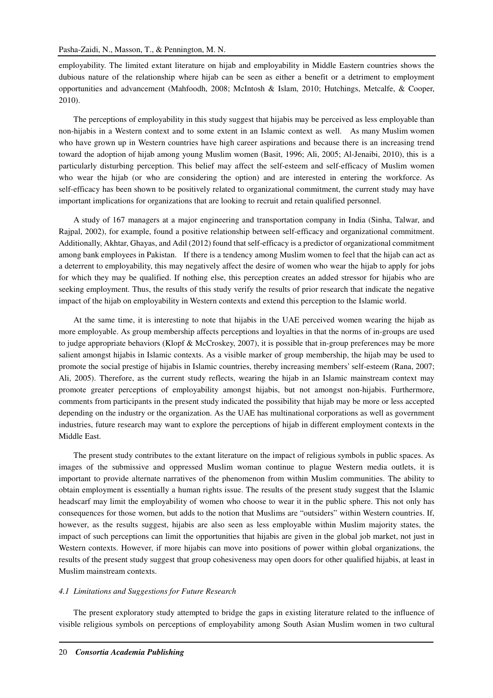employability. The limited extant literature on hijab and employability in Middle Eastern countries shows the dubious nature of the relationship where hijab can be seen as either a benefit or a detriment to employment opportunities and advancement (Mahfoodh, 2008; McIntosh & Islam, 2010; Hutchings, Metcalfe, & Cooper, 2010).

The perceptions of employability in this study suggest that hijabis may be perceived as less employable than non-hijabis in a Western context and to some extent in an Islamic context as well. As many Muslim women who have grown up in Western countries have high career aspirations and because there is an increasing trend toward the adoption of hijab among young Muslim women (Basit, 1996; Ali, 2005; Al-Jenaibi, 2010), this is a particularly disturbing perception. This belief may affect the self-esteem and self-efficacy of Muslim women who wear the hijab (or who are considering the option) and are interested in entering the workforce. As self-efficacy has been shown to be positively related to organizational commitment, the current study may have important implications for organizations that are looking to recruit and retain qualified personnel.

A study of 167 managers at a major engineering and transportation company in India (Sinha, Talwar, and Rajpal, 2002), for example, found a positive relationship between self-efficacy and organizational commitment. Additionally, Akhtar, Ghayas, and Adil (2012) found that self-efficacy is a predictor of organizational commitment among bank employees in Pakistan. If there is a tendency among Muslim women to feel that the hijab can act as a deterrent to employability, this may negatively affect the desire of women who wear the hijab to apply for jobs for which they may be qualified. If nothing else, this perception creates an added stressor for hijabis who are seeking employment. Thus, the results of this study verify the results of prior research that indicate the negative impact of the hijab on employability in Western contexts and extend this perception to the Islamic world.

At the same time, it is interesting to note that hijabis in the UAE perceived women wearing the hijab as more employable. As group membership affects perceptions and loyalties in that the norms of in-groups are used to judge appropriate behaviors (Klopf & McCroskey, 2007), it is possible that in-group preferences may be more salient amongst hijabis in Islamic contexts. As a visible marker of group membership, the hijab may be used to promote the social prestige of hijabis in Islamic countries, thereby increasing members' self-esteem (Rana, 2007; Ali, 2005). Therefore, as the current study reflects, wearing the hijab in an Islamic mainstream context may promote greater perceptions of employability amongst hijabis, but not amongst non-hijabis. Furthermore, comments from participants in the present study indicated the possibility that hijab may be more or less accepted depending on the industry or the organization. As the UAE has multinational corporations as well as government industries, future research may want to explore the perceptions of hijab in different employment contexts in the Middle East.

The present study contributes to the extant literature on the impact of religious symbols in public spaces. As images of the submissive and oppressed Muslim woman continue to plague Western media outlets, it is important to provide alternate narratives of the phenomenon from within Muslim communities. The ability to obtain employment is essentially a human rights issue. The results of the present study suggest that the Islamic headscarf may limit the employability of women who choose to wear it in the public sphere. This not only has consequences for those women, but adds to the notion that Muslims are "outsiders" within Western countries. If, however, as the results suggest, hijabis are also seen as less employable within Muslim majority states, the impact of such perceptions can limit the opportunities that hijabis are given in the global job market, not just in Western contexts. However, if more hijabis can move into positions of power within global organizations, the results of the present study suggest that group cohesiveness may open doors for other qualified hijabis, at least in Muslim mainstream contexts.

#### *4.1 Limitations and Suggestions for Future Research*

The present exploratory study attempted to bridge the gaps in existing literature related to the influence of visible religious symbols on perceptions of employability among South Asian Muslim women in two cultural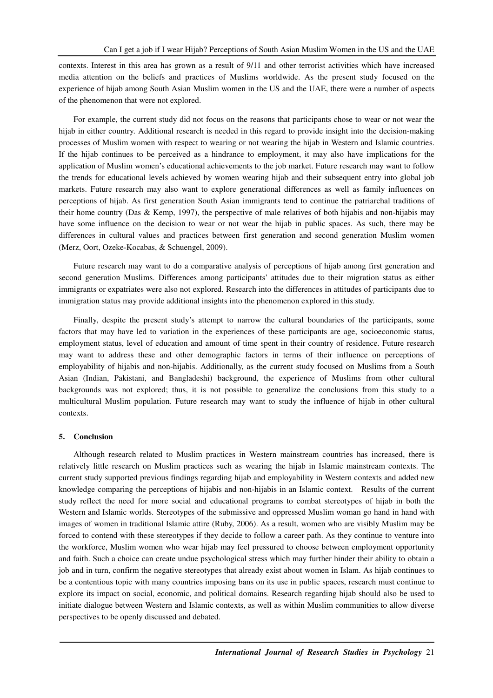contexts. Interest in this area has grown as a result of 9/11 and other terrorist activities which have increased media attention on the beliefs and practices of Muslims worldwide. As the present study focused on the experience of hijab among South Asian Muslim women in the US and the UAE, there were a number of aspects of the phenomenon that were not explored.

For example, the current study did not focus on the reasons that participants chose to wear or not wear the hijab in either country. Additional research is needed in this regard to provide insight into the decision-making processes of Muslim women with respect to wearing or not wearing the hijab in Western and Islamic countries. If the hijab continues to be perceived as a hindrance to employment, it may also have implications for the application of Muslim women's educational achievements to the job market. Future research may want to follow the trends for educational levels achieved by women wearing hijab and their subsequent entry into global job markets. Future research may also want to explore generational differences as well as family influences on perceptions of hijab. As first generation South Asian immigrants tend to continue the patriarchal traditions of their home country (Das & Kemp, 1997), the perspective of male relatives of both hijabis and non-hijabis may have some influence on the decision to wear or not wear the hijab in public spaces. As such, there may be differences in cultural values and practices between first generation and second generation Muslim women (Merz, Oort, Ozeke-Kocabas, & Schuengel, 2009).

Future research may want to do a comparative analysis of perceptions of hijab among first generation and second generation Muslims. Differences among participants' attitudes due to their migration status as either immigrants or expatriates were also not explored. Research into the differences in attitudes of participants due to immigration status may provide additional insights into the phenomenon explored in this study.

Finally, despite the present study's attempt to narrow the cultural boundaries of the participants, some factors that may have led to variation in the experiences of these participants are age, socioeconomic status, employment status, level of education and amount of time spent in their country of residence. Future research may want to address these and other demographic factors in terms of their influence on perceptions of employability of hijabis and non-hijabis. Additionally, as the current study focused on Muslims from a South Asian (Indian, Pakistani, and Bangladeshi) background, the experience of Muslims from other cultural backgrounds was not explored; thus, it is not possible to generalize the conclusions from this study to a multicultural Muslim population. Future research may want to study the influence of hijab in other cultural contexts.

### **5. Conclusion**

Although research related to Muslim practices in Western mainstream countries has increased, there is relatively little research on Muslim practices such as wearing the hijab in Islamic mainstream contexts. The current study supported previous findings regarding hijab and employability in Western contexts and added new knowledge comparing the perceptions of hijabis and non-hijabis in an Islamic context. Results of the current study reflect the need for more social and educational programs to combat stereotypes of hijab in both the Western and Islamic worlds. Stereotypes of the submissive and oppressed Muslim woman go hand in hand with images of women in traditional Islamic attire (Ruby, 2006). As a result, women who are visibly Muslim may be forced to contend with these stereotypes if they decide to follow a career path. As they continue to venture into the workforce, Muslim women who wear hijab may feel pressured to choose between employment opportunity and faith. Such a choice can create undue psychological stress which may further hinder their ability to obtain a job and in turn, confirm the negative stereotypes that already exist about women in Islam. As hijab continues to be a contentious topic with many countries imposing bans on its use in public spaces, research must continue to explore its impact on social, economic, and political domains. Research regarding hijab should also be used to initiate dialogue between Western and Islamic contexts, as well as within Muslim communities to allow diverse perspectives to be openly discussed and debated.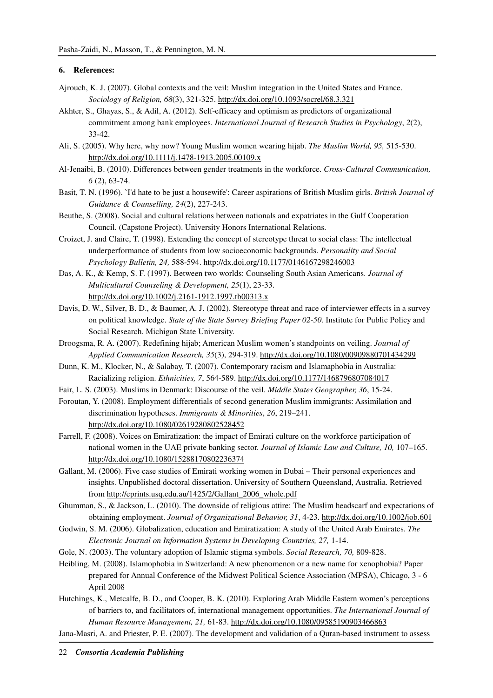### **6. References:**

- Ajrouch, K. J. (2007). Global contexts and the veil: Muslim integration in the United States and France. *Sociology of Religion, 68*(3), 321-325. http://dx.doi.org/10.1093/socrel/68.3.321
- Akhter, S., Ghayas, S., & Adil, A. (2012). Self-efficacy and optimism as predictors of organizational commitment among bank employees. *International Journal of Research Studies in Psychology*, *2*(2), 33-42.
- Ali, S. (2005). Why here, why now? Young Muslim women wearing hijab. *The Muslim World, 95,* 515-530. http://dx.doi.org/10.1111/j.1478-1913.2005.00109.x
- Al-Jenaibi, B. (2010). Differences between gender treatments in the workforce. *Cross-Cultural Communication, 6* (2), 63-74.
- Basit, T. N. (1996). `I'd hate to be just a housewife': Career aspirations of British Muslim girls. *British Journal of Guidance & Counselling, 24*(2), 227-243.
- Beuthe, S. (2008). Social and cultural relations between nationals and expatriates in the Gulf Cooperation Council. (Capstone Project). University Honors International Relations.
- Croizet, J. and Claire, T. (1998). Extending the concept of stereotype threat to social class: The intellectual underperformance of students from low socioeconomic backgrounds. *Personality and Social Psychology Bulletin, 24,* 588-594. http://dx.doi.org/10.1177/0146167298246003
- Das, A. K., & Kemp, S. F. (1997). Between two worlds: Counseling South Asian Americans. *Journal of Multicultural Counseling & Development, 25*(1), 23-33. http://dx.doi.org/10.1002/j.2161-1912.1997.tb00313.x
- Davis, D. W., Silver, B. D., & Baumer, A. J. (2002). Stereotype threat and race of interviewer effects in a survey on political knowledge. *State of the State Survey Briefing Paper 02-50.* Institute for Public Policy and Social Research. Michigan State University.
- Droogsma, R. A. (2007). Redefining hijab; American Muslim women's standpoints on veiling. *Journal of Applied Communication Research, 35*(3), 294-319. http://dx.doi.org/10.1080/00909880701434299
- Dunn, K. M., Klocker, N., & Salabay, T. (2007). Contemporary racism and Islamaphobia in Australia: Racializing religion. *Ethnicities, 7*, 564-589. http://dx.doi.org/10.1177/1468796807084017
- Fair, L. S. (2003). Muslims in Denmark: Discourse of the veil. *Middle States Geographer, 36*, 15-24.
- Foroutan, Y. (2008). Employment differentials of second generation Muslim immigrants: Assimilation and discrimination hypotheses. *Immigrants & Minorities*, *26*, 219–241. http://dx.doi.org/10.1080/02619280802528452
- Farrell, F. (2008). Voices on Emiratization: the impact of Emirati culture on the workforce participation of national women in the UAE private banking sector. *Journal of Islamic Law and Culture, 10,* 107–165. http://dx.doi.org/10.1080/15288170802236374
- Gallant, M. (2006). Five case studies of Emirati working women in Dubai Their personal experiences and insights. Unpublished doctoral dissertation. University of Southern Queensland, Australia. Retrieved from http://eprints.usq.edu.au/1425/2/Gallant\_2006\_whole.pdf
- Ghumman, S., & Jackson, L. (2010). The downside of religious attire: The Muslim headscarf and expectations of obtaining employment. *Journal of Organizational Behavior, 31*, 4-23. http://dx.doi.org/10.1002/job.601
- Godwin, S. M. (2006). Globalization, education and Emiratization: A study of the United Arab Emirates. *The Electronic Journal on Information Systems in Developing Countries, 27,* 1-14.
- Gole, N. (2003). The voluntary adoption of Islamic stigma symbols. *Social Research, 70,* 809-828.
- Heibling, M. (2008). Islamophobia in Switzerland: A new phenomenon or a new name for xenophobia? Paper prepared for Annual Conference of the Midwest Political Science Association (MPSA), Chicago, 3 - 6 April 2008
- Hutchings, K., Metcalfe, B. D., and Cooper, B. K. (2010). Exploring Arab Middle Eastern women's perceptions of barriers to, and facilitators of, international management opportunities. *The International Journal of Human Resource Management, 21,* 61-83. http://dx.doi.org/10.1080/09585190903466863
- Jana-Masri, A. and Priester, P. E. (2007). The development and validation of a Quran-based instrument to assess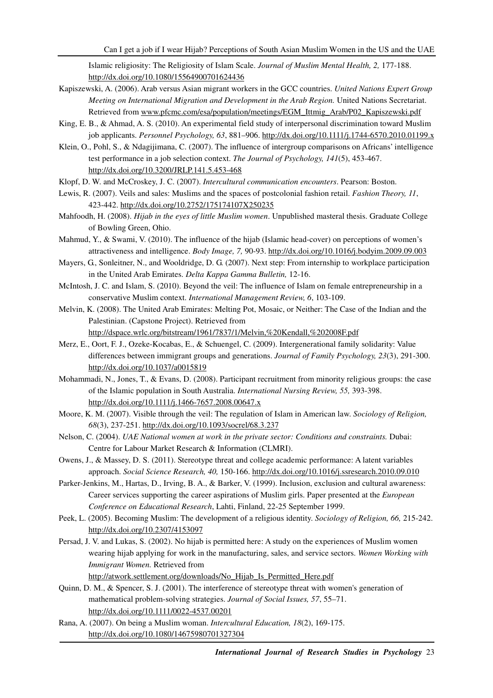Islamic religiosity: The Religiosity of Islam Scale. *Journal of Muslim Mental Health, 2,* 177-188. http://dx.doi.org/10.1080/15564900701624436

- Kapiszewski, A. (2006). Arab versus Asian migrant workers in the GCC countries. *United Nations Expert Group Meeting on International Migration and Development in the Arab Region. United Nations Secretariat.* Retrieved from www.pfcmc.com/esa/population/meetings/EGM\_Ittmig\_Arab/P02\_Kapiszewski.pdf
- King, E. B., & Ahmad, A. S. (2010). An experimental field study of interpersonal discrimination toward Muslim job applicants. *Personnel Psychology, 63*, 881–906. http://dx.doi.org/10.1111/j.1744-6570.2010.01199.x
- Klein, O., Pohl, S., & Ndagijimana, C. (2007). The influence of intergroup comparisons on Africans' intelligence test performance in a job selection context. *The Journal of Psychology, 141*(5), 453-467. http://dx.doi.org/10.3200/JRLP.141.5.453-468
- Klopf, D. W. and McCroskey, J. C. (2007). *Intercultural communication encounters*. Pearson: Boston.
- Lewis, R. (2007). Veils and sales: Muslims and the spaces of postcolonial fashion retail. *Fashion Theory, 11*, 423-442. http://dx.doi.org/10.2752/175174107X250235
- Mahfoodh, H. (2008). *Hijab in the eyes of little Muslim women*. Unpublished masteral thesis. Graduate College of Bowling Green, Ohio.
- Mahmud, Y., & Swami, V. (2010). The influence of the hijab (Islamic head-cover) on perceptions of women's attractiveness and intelligence. *Body Image, 7,* 90-93. http://dx.doi.org/10.1016/j.bodyim.2009.09.003
- Mayers, G., Sonleitner, N., and Wooldridge, D. G. (2007). Next step: From internship to workplace participation in the United Arab Emirates. *Delta Kappa Gamma Bulletin,* 12-16.
- McIntosh, J. C. and Islam, S. (2010). Beyond the veil: The influence of Islam on female entrepreneurship in a conservative Muslim context. *International Management Review, 6*, 103-109.
- Melvin, K. (2008). The United Arab Emirates: Melting Pot, Mosaic, or Neither: The Case of the Indian and the Palestinian. (Capstone Project). Retrieved from http://dspace.wrlc.org/bitstream/1961/7837/1/Melvin,%20Kendall,%202008F.pdf
- Merz, E., Oort, F. J., Ozeke-Kocabas, E., & Schuengel, C. (2009). Intergenerational family solidarity: Value differences between immigrant groups and generations. *Journal of Family Psychology, 23*(3), 291-300. http://dx.doi.org/10.1037/a0015819
- Mohammadi, N., Jones, T., & Evans, D. (2008). Participant recruitment from minority religious groups: the case of the Islamic population in South Australia. *International Nursing Review, 55,* 393-398. http://dx.doi.org/10.1111/j.1466-7657.2008.00647.x
- Moore, K. M. (2007). Visible through the veil: The regulation of Islam in American law. *Sociology of Religion, 68*(3), 237-251. http://dx.doi.org/10.1093/socrel/68.3.237
- Nelson, C. (2004). *UAE National women at work in the private sector: Conditions and constraints.* Dubai: Centre for Labour Market Research & Information (CLMRI).
- Owens, J., & Massey, D. S. (2011). Stereotype threat and college academic performance: A latent variables approach. *Social Science Research, 40,* 150-166. http://dx.doi.org/10.1016/j.ssresearch.2010.09.010
- Parker-Jenkins, M., Hartas, D., Irving, B. A., & Barker, V. (1999). Inclusion, exclusion and cultural awareness: Career services supporting the career aspirations of Muslim girls. Paper presented at the *European Conference on Educational Research*, Lahti, Finland, 22-25 September 1999.
- Peek, L. (2005). Becoming Muslim: The development of a religious identity. *Sociology of Religion, 66,* 215-242. http://dx.doi.org/10.2307/4153097
- Persad, J. V. and Lukas, S. (2002). No hijab is permitted here: A study on the experiences of Muslim women wearing hijab applying for work in the manufacturing, sales, and service sectors. *Women Working with Immigrant Women.* Retrieved from

http://atwork.settlement.org/downloads/No\_Hijab\_Is\_Permitted\_Here.pdf

- Quinn, D. M., & Spencer, S. J. (2001). The interference of stereotype threat with women's generation of mathematical problem-solving strategies. *Journal of Social Issues, 57*, 55–71. http://dx.doi.org/10.1111/0022-4537.00201
- Rana, A. (2007). On being a Muslim woman. *Intercultural Education, 18*(2), 169-175. http://dx.doi.org/10.1080/14675980701327304